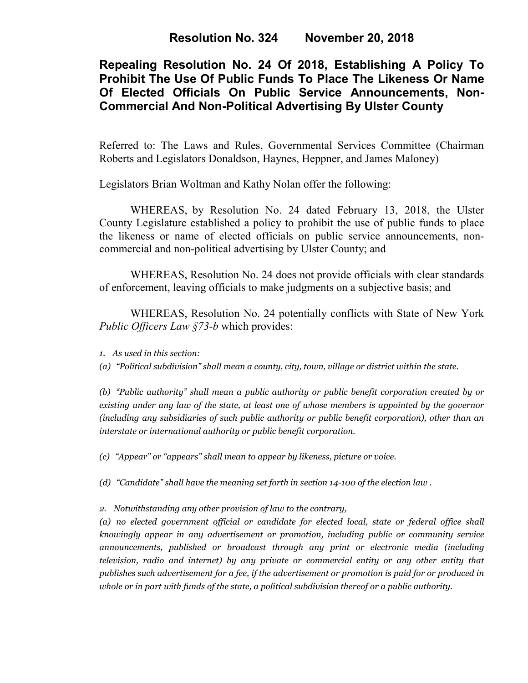**Resolution No. 324 November 20, 2018**

# **Repealing Resolution No. 24 Of 2018, Establishing A Policy To Prohibit The Use Of Public Funds To Place The Likeness Or Name Of Elected Officials On Public Service Announcements, Non-Commercial And Non-Political Advertising By Ulster County**

Referred to: The Laws and Rules, Governmental Services Committee (Chairman Roberts and Legislators Donaldson, Haynes, Heppner, and James Maloney)

Legislators Brian Woltman and Kathy Nolan offer the following:

WHEREAS, by Resolution No. 24 dated February 13, 2018, the Ulster County Legislature established a policy to prohibit the use of public funds to place the likeness or name of elected officials on public service announcements, noncommercial and non-political advertising by Ulster County; and

WHEREAS, Resolution No. 24 does not provide officials with clear standards of enforcement, leaving officials to make judgments on a subjective basis; and

WHEREAS, Resolution No. 24 potentially conflicts with State of New York *Public Officers Law §73-b* which provides:

*1. As used in this section:*

*(a) "Political subdivision" shall mean a county, city, town, village or district within the state.*

*(b) "Public authority" shall mean a public authority or public benefit corporation created by or existing under any law of the state, at least one of whose members is appointed by the governor (including any subsidiaries of such public authority or public benefit corporation), other than an interstate or international authority or public benefit corporation.*

*(c) "Appear" or "appears" shall mean to appear by likeness, picture or voice.*

*(d) "Candidate" shall have the meaning set forth in section 14-100 of the [election](https://1.next.westlaw.com/Link/Document/FullText?findType=L&originatingContext=document&transitionType=DocumentItem&pubNum=1000071&refType=LQ&originatingDoc=Ie36a1c20336e11e6b7a8d0af6f3578b5&cite=NYELS14-100) law .*

*2. Notwithstanding any other provision of law to the contrary,* 

*(a) no elected government official or candidate for elected local, state or federal office shall knowingly appear in any advertisement or promotion, including public or community service announcements, published or broadcast through any print or electronic media (including television, radio and internet) by any private or commercial entity or any other entity that publishes such advertisement for a fee, if the advertisement or promotion is paid for or produced in whole or in part with funds of the state, a political subdivision thereof or a public authority.*